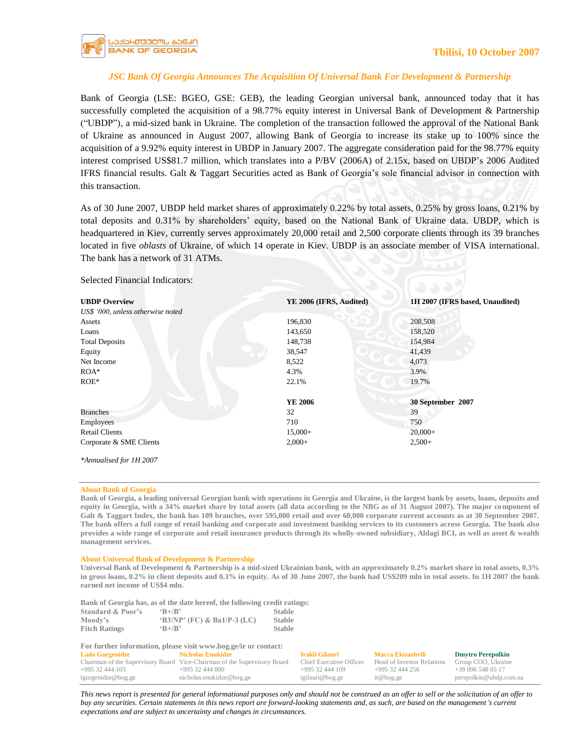

## *JSC Bank Of Georgia Announces The Acquisition Of Universal Bank For Development & Partnership*

Bank of Georgia (LSE: BGEO, GSE: GEB), the leading Georgian universal bank, announced today that it has successfully completed the acquisition of a 98.77% equity interest in Universal Bank of Development & Partnership ("UBDP"), a mid-sized bank in Ukraine. The completion of the transaction followed the approval of the National Bank of Ukraine as announced in August 2007, allowing Bank of Georgia to increase its stake up to 100% since the acquisition of a 9.92% equity interest in UBDP in January 2007. The aggregate consideration paid for the 98.77% equity interest comprised US\$81.7 million, which translates into a P/BV (2006A) of 2.15x, based on UBDP's 2006 Audited IFRS financial results. Galt & Taggart Securities acted as Bank of Georgia's sole financial advisor in connection with this transaction.

As of 30 June 2007, UBDP held market shares of approximately 0.22% by total assets, 0.25% by gross loans, 0.21% by total deposits and 0.31% by shareholders' equity, based on the National Bank of Ukraine data. UBDP, which is headquartered in Kiev, currently serves approximately 20,000 retail and 2,500 corporate clients through its 39 branches located in five *oblasts* of Ukraine, of which 14 operate in Kiev. UBDP is an associate member of VISA international. The bank has a network of 31 ATMs.

**UBDP Overview YE 2006 (IFRS, Audited) 1H 2007 (IFRS based, Unaudited)**  *US\$ '000, unless otherwise noted*  Assets 196,830 208,508 **Loans** 143,650 158,520 Total Deposits 148,738 154,984 Equity 38,547 41,439 Net Income 8,522 4,073  $ROA^*$  3.9% 3.9%  $ROE^*$  22.1% 19.7% 19.7% **YE 2006 30 September 2007**  Branches 32 39 Employees 710 750 Retail Clients 20,000+ 20,000+ 20,000+ Corporate & SME Clients 2,000+ 2,500+ 2,500+ *\*Annualised for 1H 2007*

Selected Financial Indicators:

## **About Bank of Georgia**

**Bank of Georgia, a leading universal Georgian bank with operations in Georgia and Ukraine, is the largest bank by assets, loans, deposits and equity in Georgia, with a 34% market share by total assets (all data according to the NBG as of 31 August 2007). The major component of Galt & Taggart Index, the bank has 109 branches, over 595,000 retail and over 60,000 corporate current accounts as at 30 September 2007. The bank offers a full range of retail banking and corporate and investment banking services to its customers across Georgia. The bank also provides a wide range of corporate and retail insurance products through its wholly-owned subsidiary, Aldagi BCI, as well as asset & wealth management services.**

## **About Universal Bank of Development & Partnership**

**Universal Bank of Development & Partnership is a mid-sized Ukrainian bank, with an approximately 0.2% market share in total assets, 0.3% in gross loans, 0.2% in client deposits and 0.3% in equity. As of 30 June 2007, the bank had US\$209 mln in total assets. In 1H 2007 the bank earned net income of US\$4 mln.** 

**Bank of Georgia has, as of the date hereof, the following credit ratings:**

| <b>Standard &amp; Poor's</b> | $R+/R$                         | <b>Stable</b> |
|------------------------------|--------------------------------|---------------|
| Moody's                      | $(B3/NP')$ (FC) & Ba1/P-3 (LC) | <b>Stable</b> |
| <b>Fitch Ratings</b>         | $R+/R$                         | <b>Stable</b> |

| For further information, please visit www.bog.ge/ir or contact: |                                                                          |                         |                            |                          |  |
|-----------------------------------------------------------------|--------------------------------------------------------------------------|-------------------------|----------------------------|--------------------------|--|
| <b>Lado Gurgenidze</b>                                          | Nicholas Enukidze                                                        | Irakli Gilauri          | Macca Ekizashvili          | <b>Dmytro Perepolkin</b> |  |
|                                                                 | Chairman of the Supervisory Board Vice-Chairman of the Supervisory Board | Chief Executive Officer | Head of Investor Relations | Group COO, Ukraine       |  |
| $+99532444103$                                                  | $+99532444800$                                                           | $+99532444109$          | $+99532444256$             | $+380965480517$          |  |
| lgurgenidze@bog.ge                                              | nicholas.enukidze@bog.ge                                                 | igilauri@bog.ge         | ir@bog.ge                  | perepolkin@ubdp.com.ua   |  |

This news report is presented for general informational purposes only and should not be construed as an offer to sell or the solicitation of an offer to *buy any securities. Certain statements in this news report are forward-looking statements and, as such, are based on the management's current expectations and are subject to uncertainty and changes in circumstances.*